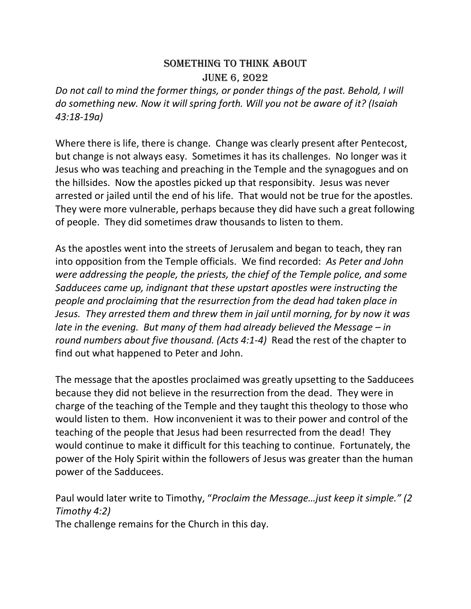## SOMETHING TO THINK ABOUT JUNE 6, 2022

*Do not call to mind the former things, or ponder things of the past. Behold, I will do something new. Now it will spring forth. Will you not be aware of it? (Isaiah 43:18-19a)*

Where there is life, there is change. Change was clearly present after Pentecost, but change is not always easy. Sometimes it has its challenges. No longer was it Jesus who was teaching and preaching in the Temple and the synagogues and on the hillsides. Now the apostles picked up that responsibity. Jesus was never arrested or jailed until the end of his life. That would not be true for the apostles. They were more vulnerable, perhaps because they did have such a great following of people. They did sometimes draw thousands to listen to them.

As the apostles went into the streets of Jerusalem and began to teach, they ran into opposition from the Temple officials. We find recorded: *As Peter and John were addressing the people, the priests, the chief of the Temple police, and some Sadducees came up, indignant that these upstart apostles were instructing the people and proclaiming that the resurrection from the dead had taken place in Jesus. They arrested them and threw them in jail until morning, for by now it was late in the evening. But many of them had already believed the Message – in round numbers about five thousand. (Acts 4:1-4)* Read the rest of the chapter to find out what happened to Peter and John.

The message that the apostles proclaimed was greatly upsetting to the Sadducees because they did not believe in the resurrection from the dead. They were in charge of the teaching of the Temple and they taught this theology to those who would listen to them. How inconvenient it was to their power and control of the teaching of the people that Jesus had been resurrected from the dead! They would continue to make it difficult for this teaching to continue. Fortunately, the power of the Holy Spirit within the followers of Jesus was greater than the human power of the Sadducees.

Paul would later write to Timothy, "*Proclaim the Message…just keep it simple." (2 Timothy 4:2)* The challenge remains for the Church in this day.